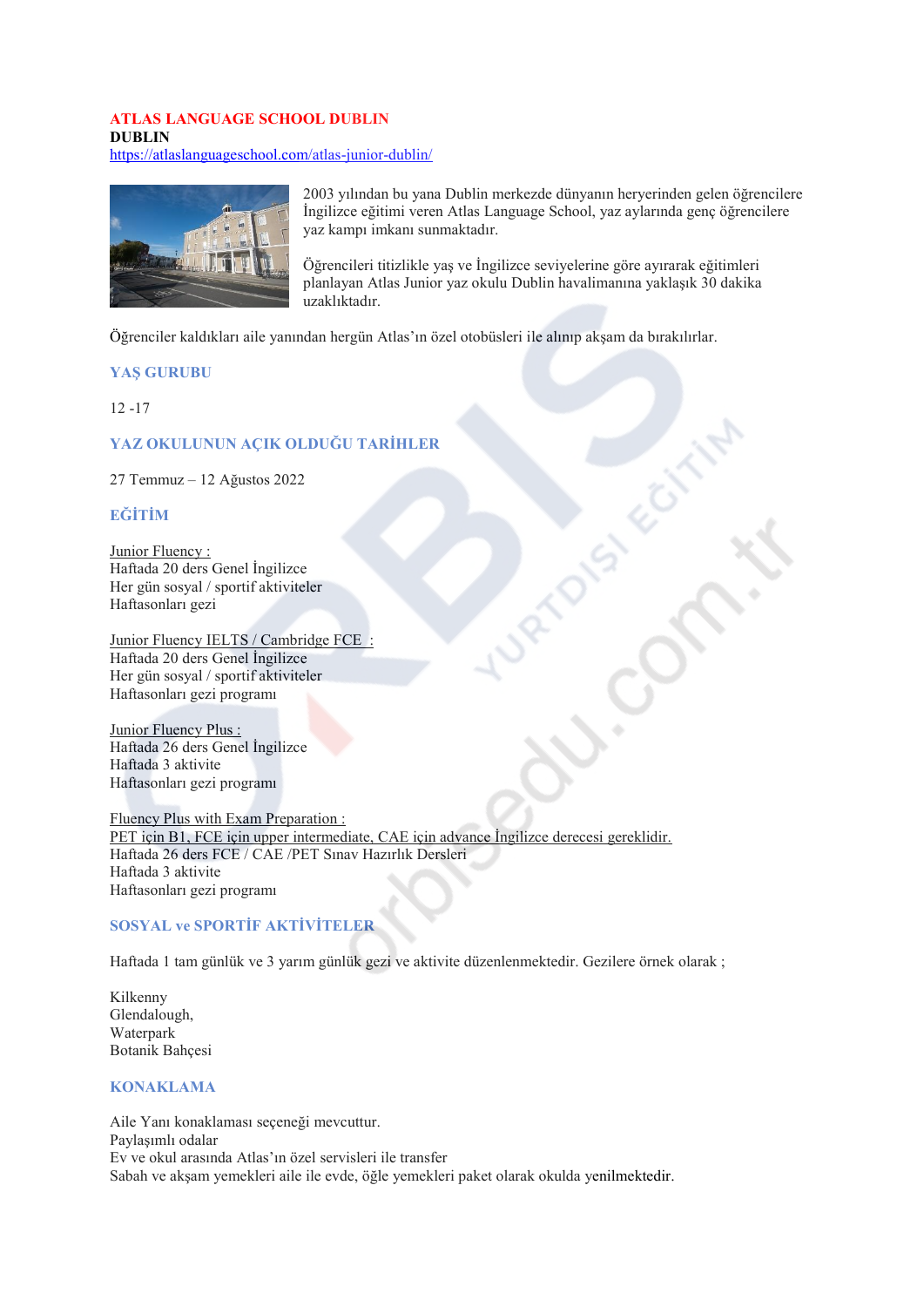# **ATLAS LANGUAGE SCHOOL DUBLIN DUBLIN**

https://atlaslanguageschool.com/atlas-junior-dublin/



2003 yılından bu yana Dublin merkezde dünyanın heryerinden gelen öğrencilere İngilizce eğitimi veren Atlas Language School, yaz aylarında genç öğrencilere yaz kampı imkanı sunmaktadır.

Öğrencileri titizlikle vas ve İngilizce sevivelerine göre avırarak eğitimleri planlayan Atlas Junior yaz okulu Dublin havalimanına yaklaşık 30 dakika uzaklıktadır.

Öğrenciler kaldıkları aile yanından hergün Atlas'ın özel otobüsleri ile alınıp akşam da bırakılırlar.

### **YAS GURUBU**

 $12 - 17$ 

### YAZ OKULUNUN ACIK OLDUĞU TARİHLER

27 Temmuz - 12 Ağustos 2022

### **EĞİTİM**

Junior Fluency: Haftada 20 ders Genel İngilizce Her gün sosyal / sportif aktiviteler Haftasonları gezi

Junior Fluency IELTS / Cambridge FCE Haftada 20 ders Genel İngilizce Her gün sosyal / sportif aktiviteler Haftasonları gezi programı

Junior Fluency Plus: Haftada 26 ders Genel İngilizce Haftada 3 aktivite Haftasonları gezi programı

Fluency Plus with Exam Preparation: PET için B1, FCE için upper intermediate, CAE için advance İngilizce derecesi gereklidir. Haftada 26 ders FCE / CAE / PET Sinav Hazirlik Dersleri Haftada 3 aktivite Haftasonları gezi programı

# **SOSYAL ve SPORTIF AKTIVITELER**

Haftada 1 tam günlük ve 3 yarım günlük gezi ve aktivite düzenlenmektedir. Gezilere örnek olarak ;

Kilkenny Glendalough, Waterpark Botanik Bahcesi

### **KONAKLAMA**

Aile Yanı konaklaması seçeneği mevcuttur. Paylasımlı odalar Ev ve okul arasında Atlas'ın özel servisleri ile transfer Sabah ve akşam yemekleri aile ile evde, öğle yemekleri paket olarak okulda yenilmektedir.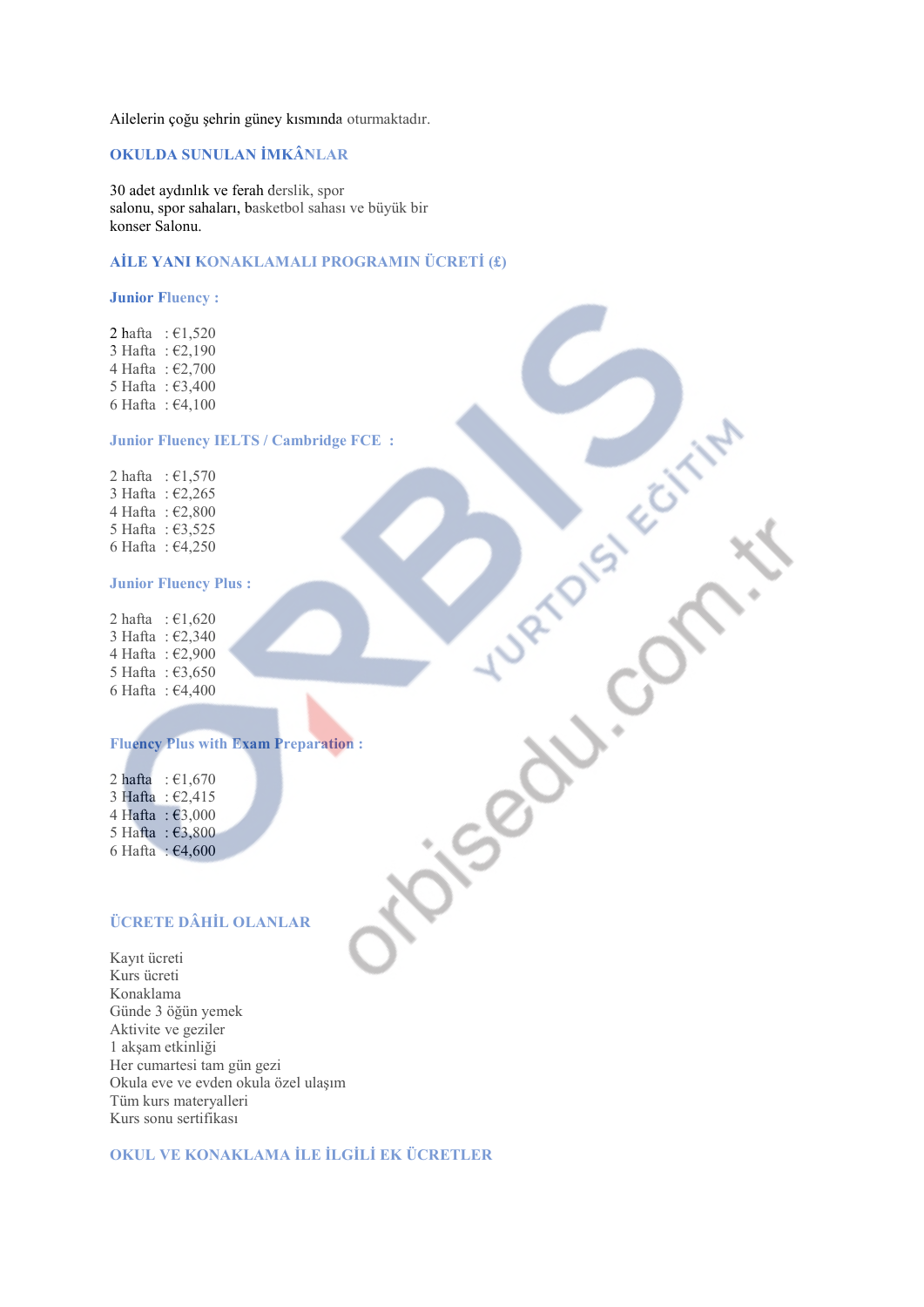Ailelerin çoğu şehrin güney kısmında oturmaktadır.

## **2.8 OKULDA SUNULAN İMKÂNLAR**

30 adet aydınlık ve ferah derslik, spor salonu, spor sahaları, basketbol sahası ve büyük bir konser Salonu.

## **AİLE YANI KONAKLAMALI PROGRAMIN ÜCRETİ (£)**

#### **Junior Fluency :**

2 hafta :  $\epsilon$ 1,520  $3$  Hafta:  $\epsilon$ 2,190 4 Hafta :  $\epsilon$ 2,700 5 Hafta:  $\epsilon$ 3,400 6 Hafta:  $\epsilon$ 4,100

### **Junior Fluency IELTS / Cambridge FCE :**

2 hafta :  $\epsilon$ 1,570 3 Hafta :  $\epsilon$ 2,265 4 Hafta :  $\epsilon$ 2,800 5 Hafta:  $\epsilon$ 3,525 6 Hafta:  $\epsilon$ 4,250

#### **Junior Fluency Plus :**

 $2 \text{ hafta} : \text{\textsterling}1,620$ 3 Hafta :  $\epsilon$ 2,340 4 Hafta :  $\epsilon$ 2,900 5 Hafta:  $\epsilon$ 3,650 6 Hafta:  $\epsilon$ 4,400

# **Fluency Plus with Exam Preparation :**

2 hafta :  $€1,670$  $3 Hafta :  $£2,415$$ 4 Hafta :  $\epsilon$ 3,000 5 Hafta:  $\epsilon$ 3,800 6 Hafta:  $\epsilon$ 4,600

## **ÜCRETE DÂHİL OLANLAR**

Kayıt ücreti Kurs ücreti Konaklama Günde 3 öğün yemek Aktivite ve geziler 1 akşam etkinliği Her cumartesi tam gün gezi Okula eve ve evden okula özel ulaşım Tüm kurs materyalleri Kurs sonu sertifikası

# **2.8/9 OKUL VE KONAKLAMA İLE İLGİLİ EK ÜCRETLER**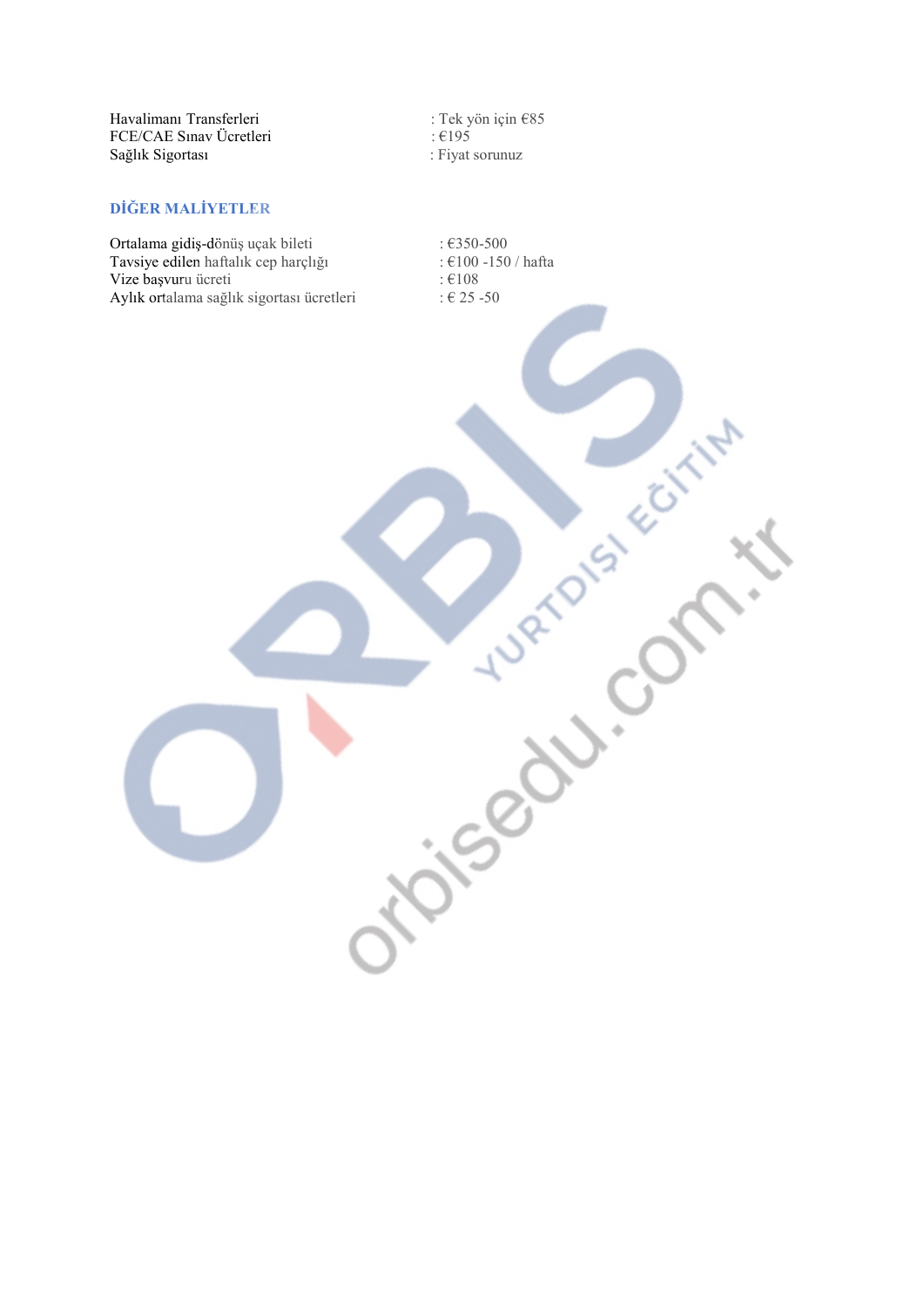| Havalimanı Transferleri |  |
|-------------------------|--|
| FCE/CAE Sinav Ücretleri |  |
| Sağlık Sigortası        |  |

: Tek yön için €85<br>: €195 : Fiyat sorunuz

# DİĞER MALİYETLER

Ortalama gidiş-dönüş uçak bileti<br>Tavsiye edilen haftalık cep harçlığı Vize başvuru ücreti Aylık ortalama sağlık sigortası ücretleri

 $:6350 - 500$ :  $\epsilon$ 100 -150 / hafta :  $€108$ : € 25 -50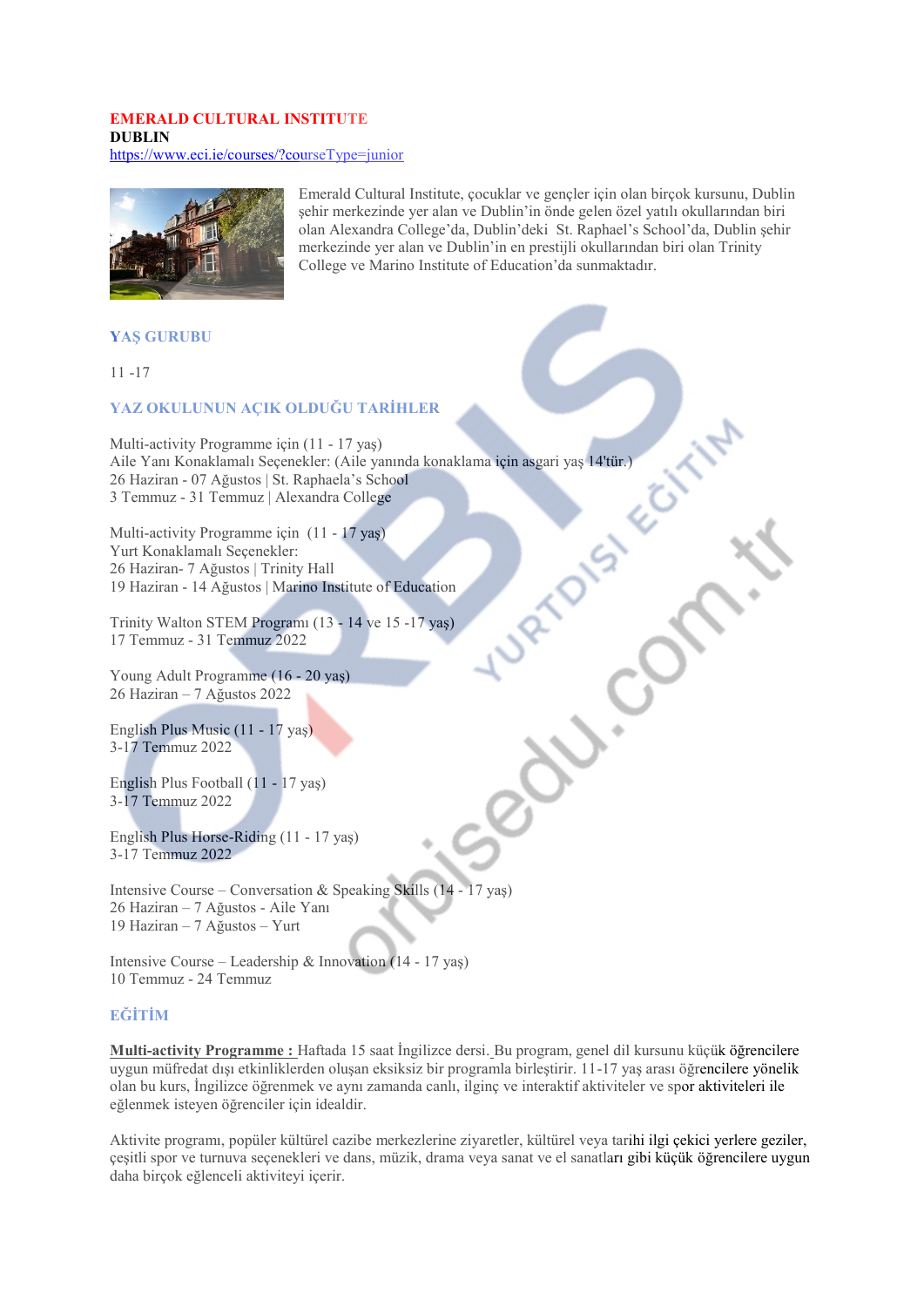#### **EMERALD CULTURAL INSTITUTE DURLIN** https://www.eci.ie/courses/?courseType=junior



Emerald Cultural Institute, çocuklar ve gençler için olan birçok kursunu, Dublin şehir merkezinde yer alan ve Dublin'in önde gelen özel yatılı okullarından biri olan Alexandra College'da, Dublin'deki St. Raphael's School'da, Dublin şehir merkezinde yer alan ve Dublin'in en prestijli okullarından biri olan Trinity College ve Marino Institute of Education'da sunmaktadır.

### **YAS GURUBU**

 $11 - 17$ 

### YAZ OKULUNUN ACIK OLDUĞU TARİHLER

Multi-activity Programme için (11 - 17 yaş) Aile Yanı Konaklamalı Seçenekler: (Aile yanında konaklama için asgari yaş 14'tür.) 26 Haziran - 07 Ağustos | St. Raphaela's School 3 Temmuz - 31 Temmuz | Alexandra College

Multi-activity Programme için (11 - 17 yaş) Yurt Konaklamalı Seçenekler: 26 Haziran- 7 Ağustos | Trinity Hall 19 Haziran - 14 Ağustos | Marino Institute of Education

Trinity Walton STEM Program (13 - 14 ve 15 -17 yas) 17 Temmuz - 31 Temmuz 2022

Young Adult Programme (16 - 20 yas) 26 Haziran - 7 Ağustos 2022

English Plus Music (11 - 17 yas) 3-17 Temmuz 2022

English Plus Football (11 - 17 yaş) 3-17 Temmuz 2022

English Plus Horse-Riding (11 - 17 vas) 3-17 Temmuz 2022

Intensive Course – Conversation & Speaking Skills (14 - 17 yas) 26 Haziran - 7 Ağustos - Aile Yanı 19 Haziran - 7 Ağustos - Yurt

Intensive Course – Leadership & Innovation  $(14 - 17 \text{ yas})$ 10 Temmuz - 24 Temmuz

### **EĞİTİM**

Multi-activity Programme : Haftada 15 saat İngilizce dersi. Bu program, genel dil kursunu küçük öğrencilere uygun müfredat dışı etkinliklerden oluşan eksiksiz bir programla birleştirir. 11-17 yaş arası öğrencilere yönelik olan bu kurs, İngilizce öğrenmek ve aynı zamanda canlı, ilginç ve interaktif aktiviteler ve spor aktiviteleri ile eğlenmek isteyen öğrenciler için idealdir.

Aktivite programı, popüler kültürel cazibe merkezlerine ziyaretler, kültürel veya tarihi ilgi çekici yerlere geziler, çeşitli spor ve turnuva seçenekleri ve dans, müzik, drama veya sanat ve el sanatları gibi küçük öğrencilere uygun daha birçok eğlenceli aktiviteyi içerir.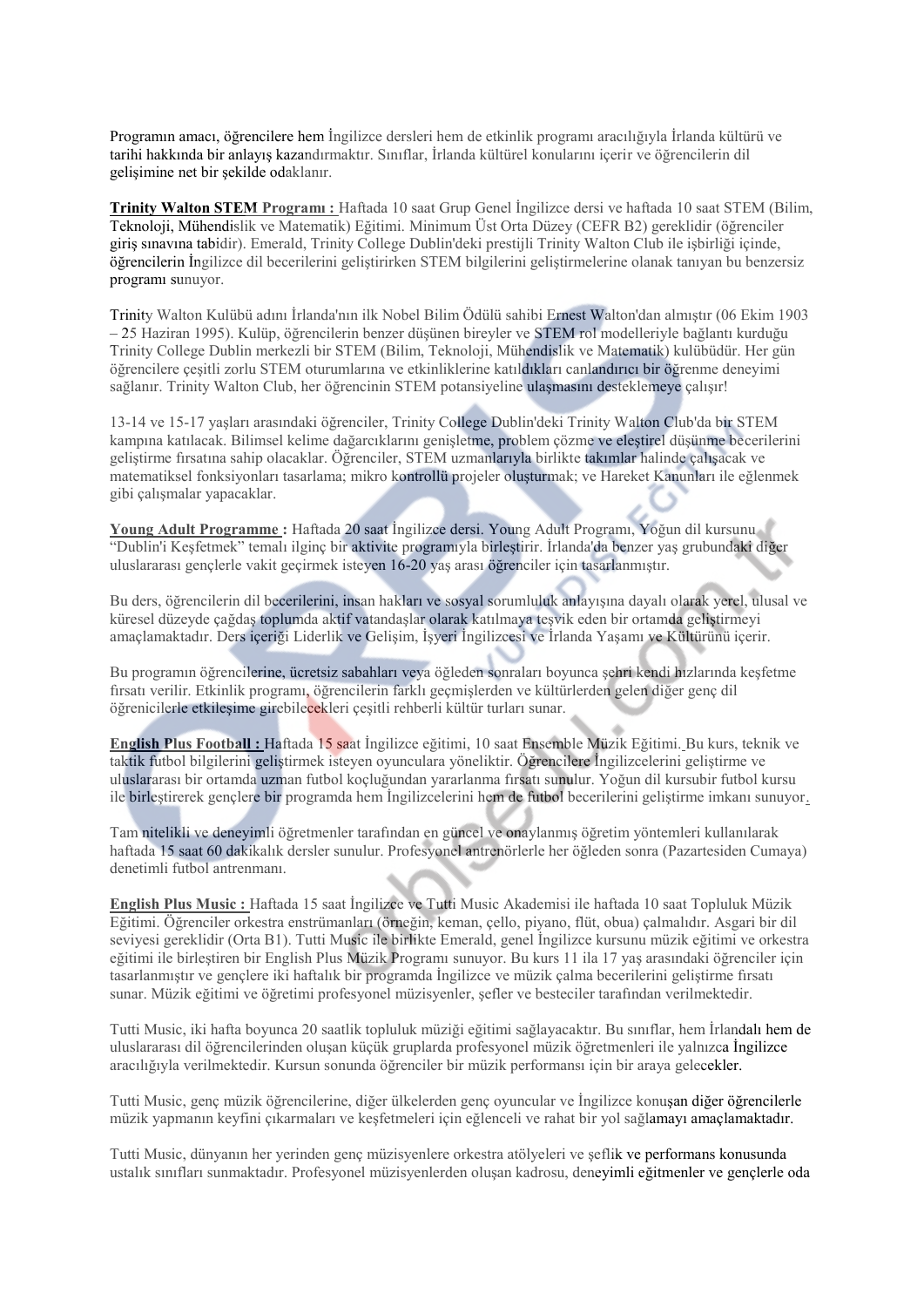Programın amacı, öğrencilere hem İngilizce dersleri hem de etkinlik programı aracılığıyla İrlanda kültürü ve tarihi hakkında bir anlayış kazandırmaktır. Sınıflar, İrlanda kültürel konularını içerir ve öğrencilerin dil gelisimine net bir şekilde odaklanır.

Trinity Walton STEM Program : Haftada 10 saat Grup Genel İngilizce dersi ve haftada 10 saat STEM (Bilim, Teknoloji, Mühendislik ve Matematik) Eğitimi. Minimum Üst Orta Düzey (CEFR B2) gereklidir (öğrenciler giris sınavına tabidir). Emerald, Trinity College Dublin'deki prestijli Trinity Walton Club ile isbirliği içinde, öğrencilerin İngilizce dil becerilerini geliştirirken STEM bilgilerini geliştirmelerine olanak tanıyan bu benzersiz programı sunuyor.

Trinity Walton Kulübü adını İrlanda'nın ilk Nobel Bilim Ödülü sahibi Ernest Walton'dan almıştır (06 Ekim 1903  $-25$  Haziran 1995). Kulüp, öğrencilerin benzer düşünen bireyler ve STEM rol modelleriyle bağlantı kurduğu Trinity College Dublin merkezli bir STEM (Bilim, Teknoloji, Mühendislik ve Matematik) kulübüdür. Her gün öğrencilere cesitli zorlu STEM oturumlarına ve etkinliklerine katıldıkları canlandırıcı bir öğrenme denevimi sağlanır. Trinity Walton Club, her öğrencinin STEM potansiyeline ulaşmasını desteklemeye çalışır!

13-14 ve 15-17 vasları arasındaki öğrenciler. Trinity College Dublin'deki Trinity Walton Club'da bir STEM kampına katılacak. Bilimsel kelime dağarcıklarını genişletme, problem çözme ve eleştirel düşünme becerilerini gelistirme firsatına sahip olacaklar. Öğrenciler, STEM uzmanlarıyla birlikte takımlar halinde calısacak ve matematiksel fonksiyonları tasarlama; mikro kontrollü projeler oluşturmak; ve Hareket Kanunları ile eğlenmek gibi çalışmalar yapacaklar.

Young Adult Programme : Haftada 20 saat İngilizce dersi. Young Adult Programı, Yoğun dil kursunu "Dublin'i Keşfetmek" temalı ilginç bir aktivite programıyla birleştirir. İrlanda'da benzer yaş grubundaki diğer uluslararası gençlerle vakit geçirmek isteyen 16-20 yaş arası öğrenciler için tasarlanmıştır.

Bu ders, öğrencilerin dil becerilerini, insan hakları ve sosyal sorumluluk anlayışına dayalı olarak yerel, ulusal ve küresel düzeyde cağdas toplumda aktif vatandaslar olarak katılmaya tesvik eden bir ortamda geliştirmeyi amaçlamaktadır. Ders içeriği Liderlik ve Gelişim, İşyeri İngilizcesi ve İrlanda Yaşamı ve Kültürünü içerir.

Bu programın öğrencilerine, ücretsiz sabahları veya öğleden sonraları boyunca sehri kendi hızlarında kesfetme fırsatı verilir. Etkinlik programı, öğrencilerin farklı geçmişlerden ve kültürlerden gelen diğer genç dil öğrenicilerle etkilesime girebilecekleri çesitli rehberli kültür turları sunar.

English Plus Football : Haftada 15 saat İngilizce eğitimi. 10 saat Ensemble Müzik Eğitimi. Bu kurs, teknik ve taktik futbol bilgilerini gelistirmek isteyen oyunculara yöneliktir. Öğrencilere İngilizcelerini gelistirme ve uluslararası bir ortamda uzman futbol koçluğundan yararlanma firsatı sunulur. Yoğun dil kursubir futbol kursu ile birlestirerek genelere bir programda hem İngilizcelerini hem de futbol becerilerini gelistirme imkanı sunuvor.

Tam nitelikli ve deneyimli öğretmenler tarafından en güncel ve onaylanmış öğretim yöntemleri kullanılarak haftada 15 saat 60 dakikalık dersler sunulur. Profesyonel antrenörlerle her öğleden sonra (Pazartesiden Cumaya) denetimli futbol antrenmanı.

English Plus Music : Haftada 15 saat İngilizce ve Tutti Music Akademisi ile haftada 10 saat Topluluk Müzik Eğitimi. Öğrenciler orkestra enstrümanları (örneğin, keman, çello, piyano, flüt, obua) çalmalıdır. Asgari bir dil seviyesi gereklidir (Orta B1). Tutti Music ile birlikte Emerald, genel İngilizce kursunu müzik eğitimi ve orkestra eğitimi ile birleştiren bir English Plus Müzik Programı sunuyor. Bu kurs 11 ila 17 yaş arasındaki öğrenciler için tasarlanmıştır ve genclere iki haftalık bir programda İngilizce ve müzik calma becerilerini geliştirme fırsatı sunar. Müzik eğitimi ve öğretimi profesyonel müzisyenler, şefler ve besteciler tarafından verilmektedir.

Tutti Music, iki hafta boyunca 20 saatlik topluluk müziği eğitimi sağlayacaktır. Bu sınıflar, hem İrlandalı hem de uluslararası dil öğrencilerinden oluşan küçük gruplarda profesyonel müzik öğretmenleri ile yalnızca İngilizce aracılığıyla verilmektedir. Kursun sonunda öğrenciler bir müzik performansı için bir araya gelecekler.

Tutti Music, genç müzik öğrencilerine, diğer ülkelerden genç oyuncular ve İngilizce konuşan diğer öğrencilerle müzik yapmanın keyfini çıkarmaları ve keşfetmeleri için eğlenceli ve rahat bir yol sağlamayı amaçlamaktadır.

Tutti Music, dünyanın her yerinden genç müzisyenlere orkestra atölyeleri ve şeflik ve performans konusunda ustalık sınıfları sunmaktadır. Profesyonel müzisyenlerden oluşan kadrosu, deneyimli eğitmenler ve gençlerle oda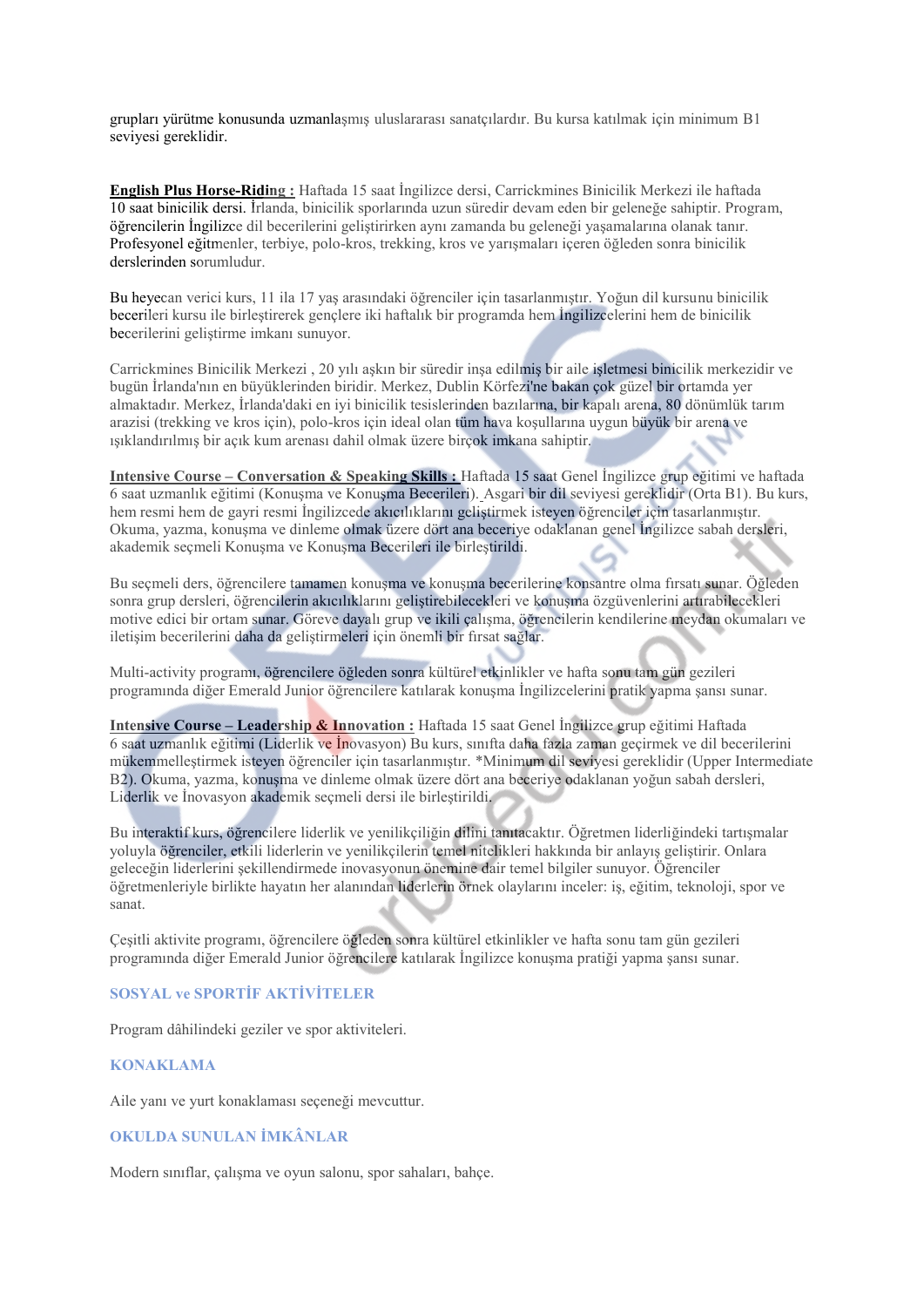grupları yürütme konusunda uzmanlaşmış uluşlararası sanatçılardır. Bu kursa katılmak için minimum B1 sevivesi gereklidir.

**English Plus Horse-Riding:** Haftada 15 saat Ingilizce dersi, Carrickmines Binicilik Merkezi ile haftada 10 saat binicilik dersi. İrlanda, binicilik sporlarında uzun süredir devam eden bir geleneğe sahiptir. Program, öğrencilerin İngilizce dil becerilerini geliştirirken aynı zamanda bu geleneği yaşamalarına olanak tanır. Profesyonel eğitmenler, terbiye, polo-kros, trekking, kros ve yarısmaları içeren öğleden sonra binicilik derslerinden sorumludur.

Bu heyecan verici kurs, 11 ila 17 yaş arasındaki öğrenciler için tasarlanmıştır. Yoğun dil kursunu binicilik becerileri kursu ile birleştirerek gençlere iki haftalık bir programda hem İngilizcelerini hem de binicilik becerilerini geliştirme imkanı sunuyor.

Carrickmines Binicilik Merkezi, 20 vili askin bir süredir insa edilmis bir aile isletmesi binicilik merkezidir ve bugün İrlanda'nın en büyüklerinden biridir. Merkez, Dublin Körfezi'ne bakan çok güzel bir ortamda yer almaktadır. Merkez, İrlanda'daki en iyi binicilik tesislerinden bazılarına, bir kapalı arena, 80 dönümlük tarım arazisi (trekking ve kros icin), polo-kros icin ideal olan tüm hava kosullarına uygun büyük bir arena ve ışıklandırılmış bir açık kum arenası dahil olmak üzere birçok imkana sahiptir.

Intensive Course – Conversation & Speaking Skills : Haftada 15 saat Genel Ingilizce grup eğitimi ve haftada 6 saat uzmanlık eğitimi (Konuşma ve Konuşma Becerileri). Asgari bir dil seviyesi gereklidir (Örta B1). Bu kurs, hem resmi hem de gayri resmi İngilizcede akıcılıklarını geliştirmek isteyen öğrenciler için tasarlanmıştır. Okuma, yazma, konuşma ve dinleme olmak üzere dört ana beceriye odaklanan genel İngilizce sabah dersleri, akademik seçmeli Konuşma ve Konuşma Becerileri ile birleştirildi.

Bu seçmeli ders, öğrencilere tamamen konuşma ve konuşma becerilerine konsantre olma fırsatı sunar. Öğleden sonra grup dersleri, öğrencilerin akıcılıklarını geliştirebilecekleri ve konuşma özgüvenlerini artırabilecekleri motive edici bir ortam sunar. Göreve dayalı grup ve ikili çalışma, öğrencilerin kendilerine meydan okumaları ve iletişim becerilerini daha da geliştirmeleri için önemli bir fırsat sağlar.

Multi-activity programı, öğrencilere öğleden sonra kültürel etkinlikler ve hafta sonu tam gün gezileri programında diğer Emerald Junior öğrencilere katılarak konusma İngilizcelerini pratik yapma sansı sunar.

Intensive Course – Leadership & Innovation : Haftada 15 saat Genel İngilizce grup eğitimi Haftada 6 saat uzmanlık eğitimi (Liderlik ve İnovasyon) Bu kurs, sınıfta daha fazla zaman geçirmek ve dil becerilerini mükemmellestirmek isteyen öğrenciler için tasarlanmıştır. \*Minimum dil seviyesi gereklidir (Upper Intermediate B2). Okuma, yazma, konusma ve dinleme olmak üzere dört ana beceriye odaklanan yoğun sabah dersleri, Liderlik ve İnovasyon akademik seçmeli dersi ile birleştirildi.

Bu interaktif kurs, öğrencilere liderlik ve yenilikçiliğin dilini tanıtacaktır. Öğretmen liderliğindeki tartışmalar yoluyla öğrenciler, etkili liderlerin ve yenilikçilerin temel nitelikleri hakkında bir anlayış geliştirir. Onlara geleceğin liderlerini şekillendirmede inovasyonun önemine dair temel bilgiler sunuyor. Öğrenciler öğretmenleriyle birlikte hayatın her alanından liderlerin örnek olaylarını inceler: iş, eğitim, teknoloji, spor ve sanat

Çeşitli aktivite programı, öğrencilere öğleden sonra kültürel etkinlikler ve hafta sonu tam gün gezileri programında diğer Emerald Junior öğrencilere katılarak İngilizce konuşma pratiği yapma şansı sunar.

### **SOSYAL ve SPORTIF AKTIVITELER**

Program dâhilindeki geziler ve spor aktiviteleri.

#### **KONAKLAMA**

Aile yanı ve yurt konaklaması seçeneği mevcuttur.

#### OKULDA SUNULAN İMKÂNLAR

Modern siniflar, çalışma ve oyun salonu, spor sahaları, bahçe.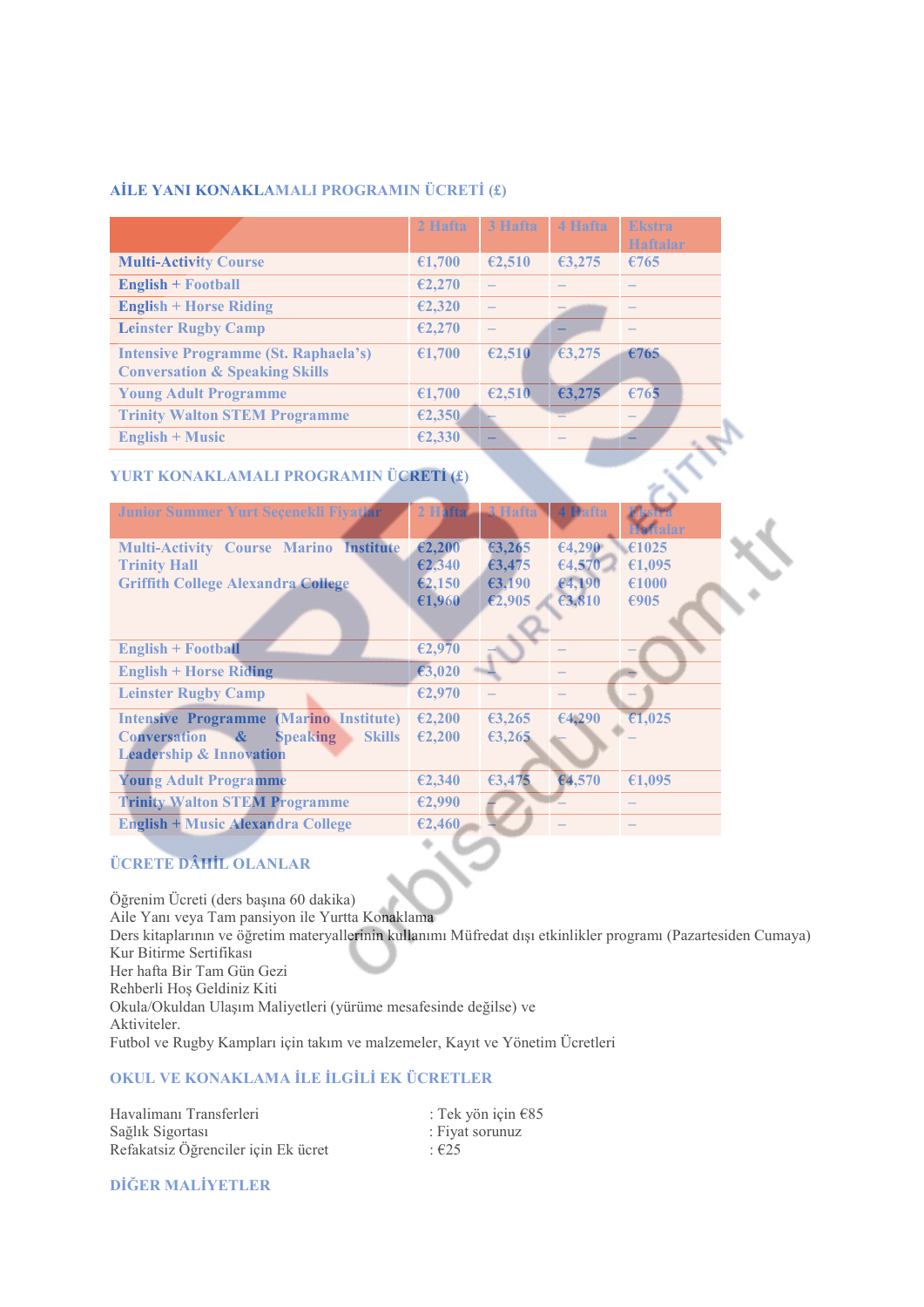## AİLE YANI KONAKLAMALI PROGRAMIN ÜCRETİ (£)

|                                                                                          | 2 Hafta | 3 Hafta | 4 Hafta | <b>Ekstra</b><br>Haftalar |
|------------------------------------------------------------------------------------------|---------|---------|---------|---------------------------|
| <b>Multi-Activity Course</b>                                                             | €1,700  | €2,510  | 63,275  | €765                      |
| <b>English + Football</b>                                                                | E2,270  |         |         |                           |
| <b>English + Horse Riding</b>                                                            | €2,320  |         |         |                           |
| <b>Leinster Rugby Camp</b>                                                               | E2,270  |         |         |                           |
| <b>Intensive Programme (St. Raphaela's)</b><br><b>Conversation &amp; Speaking Skills</b> | €1,700  | €2,510  | 63,275  | €765                      |
| <b>Young Adult Programme</b>                                                             | €1,700  | €2,510  | €3,275  | €765                      |
| <b>Trinity Walton STEM Programme</b>                                                     | E2,350  |         |         |                           |
| <b>English + Music</b>                                                                   | €2,330  |         |         |                           |

# YURT KONAKLAMALI PROGRAMIN ÜCRETİ (£)

| Junior Summer Yurt Seçenekli Fiyatlar                                        | 2 Hafta          | 3 Hafta | 4 Hafta | <b>Ekstra</b><br><b>Haftalar</b> |
|------------------------------------------------------------------------------|------------------|---------|---------|----------------------------------|
| <b>Multi-Activity Course Marino Institute</b>                                | $\epsilon$ 2,200 | 63,265  | 64,290  | €1025                            |
| <b>Trinity Hall</b>                                                          | E2,340           | 63,475  | 64,570  | €1,095                           |
| <b>Griffith College Alexandra College</b>                                    | E2,150           | €3,190  | 64,190  | €1000                            |
|                                                                              | €1,960           | E2,905  | €3,810  | €905                             |
|                                                                              |                  |         |         |                                  |
| <b>English + Football</b>                                                    | €2,970           |         |         |                                  |
| <b>English + Horse Riding</b>                                                | €3,020           |         |         |                                  |
| <b>Leinster Rugby Camp</b>                                                   | €2,970           |         |         |                                  |
| (Marino Institute)<br><b>Intensive Programme</b>                             | €2,200           | €3,265  | 64,290  | €1,025                           |
| $\mathbf{\alpha}$<br><b>Skills</b><br><b>Conversation</b><br><b>Speaking</b> | €2,200           | 63,265  |         |                                  |
| <b>Leadership &amp; Innovation</b>                                           |                  |         |         |                                  |
| <b>Young Adult Programme</b>                                                 | €2,340           | €3,475  | €4,570  | €1,095                           |
| <b>Trinity Walton STEM Programme</b>                                         | E2,990           |         |         |                                  |
| <b>English + Music Alexandra College</b>                                     | E2,460           |         |         |                                  |

# **ÜCRETE DÂHİL OLANLAR**

Öğrenim Ücreti (ders başına 60 dakika) Aile Yanı veya Tam pansiyon ile Yurtta Konaklama Ders kitaplarının ve öğretim materyallerinin kullanımı Müfredat dışı etkinlikler programı (Pazartesiden Cumaya) Kur Bitirme Sertifikası Her hafta Bir Tam Gün Gezi Rehberli Hoş Geldiniz Kiti Okula/Okuldan Ulaşım Maliyetleri (yürüme mesafesinde değilse) ve Aktiviteler. Futbol ve Rugby Kampları için takım ve malzemeler, Kayıt ve Yönetim Ücretleri

## OKUL VE KONAKLAMA İLE İLGİLİ EK ÜCRETLER

Havalimanı Transferleri Sağlık Sigortası Refakatsiz Öğrenciler için Ek ücret

: Tek yön için €85 : Fiyat sorunuz  $: E25$ 

DİĞER MALİYETLER